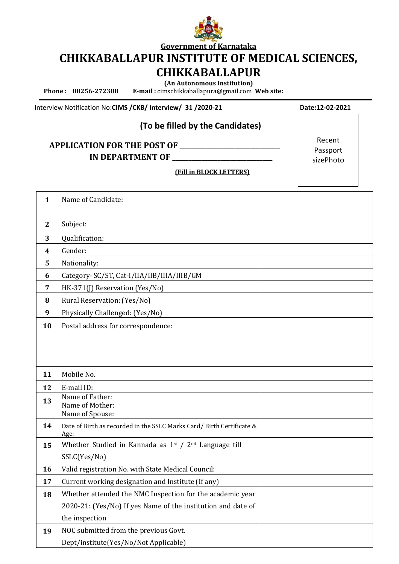

**Government of Karnataka**

**CHIKKABALLAPUR INSTITUTE OF MEDICAL SCIENCES,** 

# **CHIKKABALLAPUR**

**(An Autonomous Institution)**

 **Phone : 08256-272388 E-mail :** [cimschikkaballapura@gmail.com](mailto:cimschikkaballapura@gmail.com) **Web site:** 

Interview Notification No:CIMS / CKB/ Interview/ 31 / 2020-21 Date:12-02-2021

### **(To be filled by the Candidates)**

## **APPLICATION FOR THE POST OF \_\_\_\_\_\_\_\_\_\_\_\_\_\_\_\_\_\_\_\_\_\_\_\_\_\_\_\_\_\_\_ IN DEPARTMENT OF**

Recent Passport sizePhoto

**(Fill in BLOCK LETTERS)**

| $\mathbf{1}$ | Name of Candidate:                                                   |  |  |  |  |
|--------------|----------------------------------------------------------------------|--|--|--|--|
|              |                                                                      |  |  |  |  |
| $\mathbf{2}$ | Subject:                                                             |  |  |  |  |
| 3            | Qualification:                                                       |  |  |  |  |
| 4            | Gender:                                                              |  |  |  |  |
| 5            | Nationality:                                                         |  |  |  |  |
| 6            | Category- SC/ST, Cat-I/IIA/IIB/IIIA/IIIB/GM                          |  |  |  |  |
| 7            | HK-371(J) Reservation (Yes/No)                                       |  |  |  |  |
| 8            | Rural Reservation: (Yes/No)                                          |  |  |  |  |
| 9            | Physically Challenged: (Yes/No)                                      |  |  |  |  |
| 10           | Postal address for correspondence:                                   |  |  |  |  |
|              |                                                                      |  |  |  |  |
|              |                                                                      |  |  |  |  |
|              |                                                                      |  |  |  |  |
| 11           | Mobile No.                                                           |  |  |  |  |
| 12           | E-mail ID:                                                           |  |  |  |  |
| 13           | Name of Father:<br>Name of Mother:                                   |  |  |  |  |
|              | Name of Spouse:                                                      |  |  |  |  |
| 14           | Date of Birth as recorded in the SSLC Marks Card/Birth Certificate & |  |  |  |  |
|              | Age:                                                                 |  |  |  |  |
| 15           | Whether Studied in Kannada as $1^{st}$ / $2^{nd}$ Language till      |  |  |  |  |
|              | SSLC(Yes/No)                                                         |  |  |  |  |
| 16           | Valid registration No. with State Medical Council:                   |  |  |  |  |
| 17           | Current working designation and Institute (If any)                   |  |  |  |  |
| 18           | Whether attended the NMC Inspection for the academic year            |  |  |  |  |
|              | 2020-21: (Yes/No) If yes Name of the institution and date of         |  |  |  |  |
|              | the inspection                                                       |  |  |  |  |
| 19           | NOC submitted from the previous Govt.                                |  |  |  |  |
|              | Dept/institute(Yes/No/Not Applicable)                                |  |  |  |  |